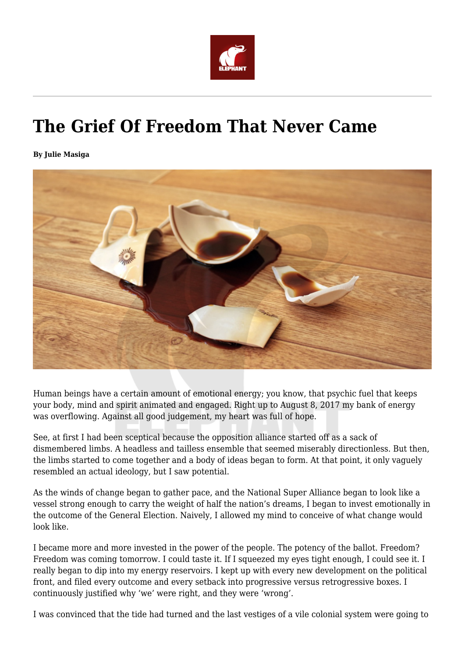

## **The Grief Of Freedom That Never Came**

**By Julie Masiga**



Human beings have a certain amount of emotional energy; you know, that psychic fuel that keeps your body, mind and spirit animated and engaged. Right up to August 8, 2017 my bank of energy was overflowing. Against all good judgement, my heart was full of hope.

See, at first I had been sceptical because the opposition alliance started off as a sack of dismembered limbs. A headless and tailless ensemble that seemed miserably directionless. But then, the limbs started to come together and a body of ideas began to form. At that point, it only vaguely resembled an actual ideology, but I saw potential.

As the winds of change began to gather pace, and the National Super Alliance began to look like a vessel strong enough to carry the weight of half the nation's dreams, I began to invest emotionally in the outcome of the General Election. Naively, I allowed my mind to conceive of what change would look like.

I became more and more invested in the power of the people. The potency of the ballot. Freedom? Freedom was coming tomorrow. I could taste it. If I squeezed my eyes tight enough, I could see it. I really began to dip into my energy reservoirs. I kept up with every new development on the political front, and filed every outcome and every setback into progressive versus retrogressive boxes. I continuously justified why 'we' were right, and they were 'wrong'.

I was convinced that the tide had turned and the last vestiges of a vile colonial system were going to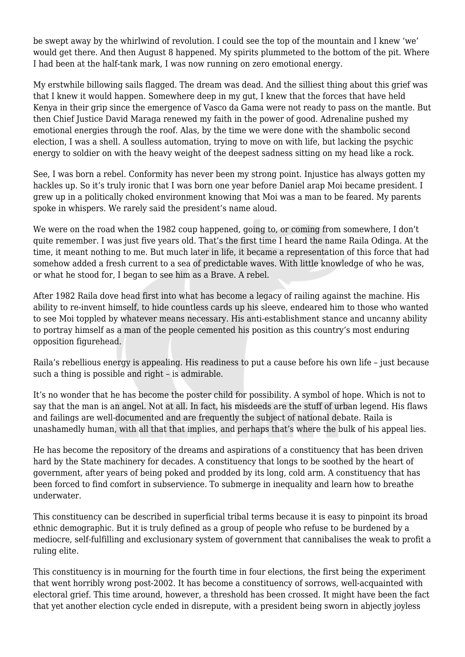be swept away by the whirlwind of revolution. I could see the top of the mountain and I knew 'we' would get there. And then August 8 happened. My spirits plummeted to the bottom of the pit. Where I had been at the half-tank mark, I was now running on zero emotional energy.

My erstwhile billowing sails flagged. The dream was dead. And the silliest thing about this grief was that I knew it would happen. Somewhere deep in my gut, I knew that the forces that have held Kenya in their grip since the emergence of Vasco da Gama were not ready to pass on the mantle. But then Chief Justice David Maraga renewed my faith in the power of good. Adrenaline pushed my emotional energies through the roof. Alas, by the time we were done with the shambolic second election, I was a shell. A soulless automation, trying to move on with life, but lacking the psychic energy to soldier on with the heavy weight of the deepest sadness sitting on my head like a rock.

See, I was born a rebel. Conformity has never been my strong point. Injustice has always gotten my hackles up. So it's truly ironic that I was born one year before Daniel arap Moi became president. I grew up in a politically choked environment knowing that Moi was a man to be feared. My parents spoke in whispers. We rarely said the president's name aloud.

We were on the road when the 1982 coup happened, going to, or coming from somewhere, I don't quite remember. I was just five years old. That's the first time I heard the name Raila Odinga. At the time, it meant nothing to me. But much later in life, it became a representation of this force that had somehow added a fresh current to a sea of predictable waves. With little knowledge of who he was, or what he stood for, I began to see him as a Brave. A rebel.

After 1982 Raila dove head first into what has become a legacy of railing against the machine. His ability to re-invent himself, to hide countless cards up his sleeve, endeared him to those who wanted to see Moi toppled by whatever means necessary. His anti-establishment stance and uncanny ability to portray himself as a man of the people cemented his position as this country's most enduring opposition figurehead.

Raila's rebellious energy is appealing. His readiness to put a cause before his own life – just because such a thing is possible and right – is admirable.

It's no wonder that he has become the poster child for possibility. A symbol of hope. Which is not to say that the man is an angel. Not at all. In fact, his misdeeds are the stuff of urban legend. His flaws and failings are well-documented and are frequently the subject of national debate. Raila is unashamedly human, with all that that implies, and perhaps that's where the bulk of his appeal lies.

He has become the repository of the dreams and aspirations of a constituency that has been driven hard by the State machinery for decades. A constituency that longs to be soothed by the heart of government, after years of being poked and prodded by its long, cold arm. A constituency that has been forced to find comfort in subservience. To submerge in inequality and learn how to breathe underwater.

This constituency can be described in superficial tribal terms because it is easy to pinpoint its broad ethnic demographic. But it is truly defined as a group of people who refuse to be burdened by a mediocre, self-fulfilling and exclusionary system of government that cannibalises the weak to profit a ruling elite.

This constituency is in mourning for the fourth time in four elections, the first being the experiment that went horribly wrong post-2002. It has become a constituency of sorrows, well-acquainted with electoral grief. This time around, however, a threshold has been crossed. It might have been the fact that yet another election cycle ended in disrepute, with a president being sworn in abjectly joyless